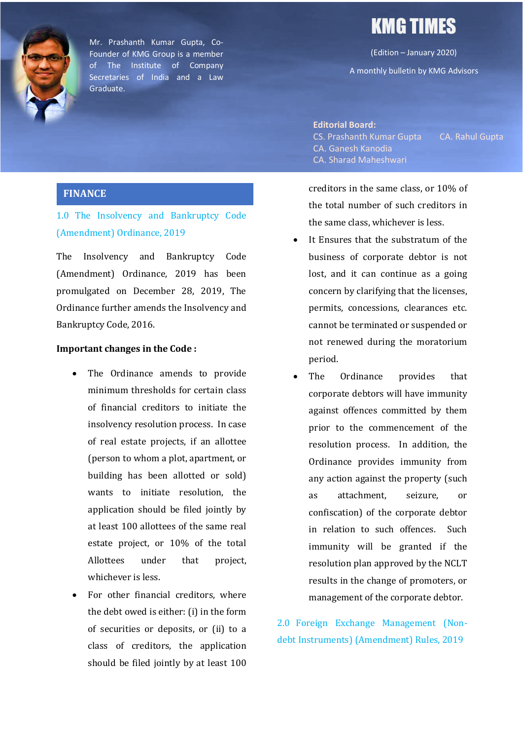

Mr. Prashanth Kumar Gupta, Co-Founder of KMG Group is a member of The Institute of Company Secretaries of India and a Law Graduate.

# KMG TIMES

(Edition – January 2020)

A monthly bulletin by KMG Advisors

#### **Editorial Board:**

CS. Prashanth Kumar Gupta CA. Rahul Gupta CA. Ganesh Kanodia CA. Sharad Maheshwari

#### **FINANCE**

1.0 The Insolvency and Bankruptcy Code (Amendment) Ordinance, 2019

The Insolvency and Bankruptcy Code (Amendment) Ordinance, 2019 has been promulgated on December 28, 2019, The Ordinance further amends the Insolvency and Bankruptcy Code, 2016.

#### **Important changes in the Code:**

- The Ordinance amends to provide minimum thresholds for certain class of financial creditors to initiate the insolvency resolution process. In case of real estate projects, if an allottee (person to whom a plot, apartment, or building has been allotted or sold) wants to initiate resolution, the application should be filed jointly by at least 100 allottees of the same real estate project, or 10% of the total Allottees under that project. whichever is less.
- For other financial creditors, where the debt owed is either: (i) in the form of securities or deposits, or (ii) to a class of creditors, the application should be filed jointly by at least 100

creditors in the same class, or 10% of the total number of such creditors in the same class, whichever is less.

- It Ensures that the substratum of the business of corporate debtor is not lost, and it can continue as a going concern by clarifying that the licenses, permits, concessions, clearances etc. cannot be terminated or suspended or not renewed during the moratorium period.
- The Ordinance provides that corporate debtors will have immunity against offences committed by them prior to the commencement of the resolution process. In addition, the Ordinance provides immunity from any action against the property (such as attachment, seizure, or confiscation) of the corporate debtor in relation to such offences. Such immunity will be granted if the resolution plan approved by the NCLT results in the change of promoters, or management of the corporate debtor.

2.0 Foreign Exchange Management (Nondebt Instruments) (Amendment) Rules, 2019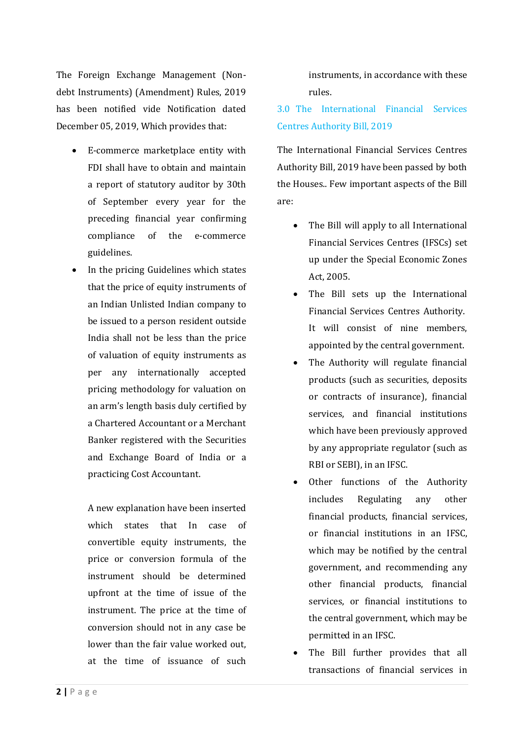The Foreign Exchange Management (Nondebt Instruments) (Amendment) Rules, 2019 has been notified vide Notification dated December 05, 2019, Which provides that:

- E-commerce marketplace entity with FDI shall have to obtain and maintain a report of statutory auditor by 30th of September every year for the preceding financial year confirming compliance of the e-commerce guidelines.
- In the pricing Guidelines which states that the price of equity instruments of an Indian Unlisted Indian company to be issued to a person resident outside India shall not be less than the price of valuation of equity instruments as per any internationally accepted pricing methodology for valuation on an arm's length basis duly certified by a Chartered Accountant or a Merchant Banker registered with the Securities and Exchange Board of India or a practicing Cost Accountant.

A new explanation have been inserted which states that In case of convertible equity instruments, the price or conversion formula of the instrument should be determined upfront at the time of issue of the instrument. The price at the time of conversion should not in any case be lower than the fair value worked out. at the time of issuance of such

**2 |** Page

instruments, in accordance with these rules.

3.0 The International Financial Services Centres Authority Bill, 2019

The International Financial Services Centres Authority Bill, 2019 have been passed by both the Houses.. Few important aspects of the Bill are:

- The Bill will apply to all International Financial Services Centres (IFSCs) set up under the Special Economic Zones Act. 2005.
- The Bill sets up the International Financial Services Centres Authority. It will consist of nine members, appointed by the central government.
- The Authority will regulate financial products (such as securities, deposits or contracts of insurance), financial services, and financial institutions which have been previously approved by any appropriate regulator (such as RBI or SEBI), in an IFSC.
- Other functions of the Authority includes Regulating any other financial products, financial services, or financial institutions in an IFSC, which may be notified by the central government, and recommending any other financial products, financial services, or financial institutions to the central government, which may be permitted in an IFSC.
- The Bill further provides that all transactions of financial services in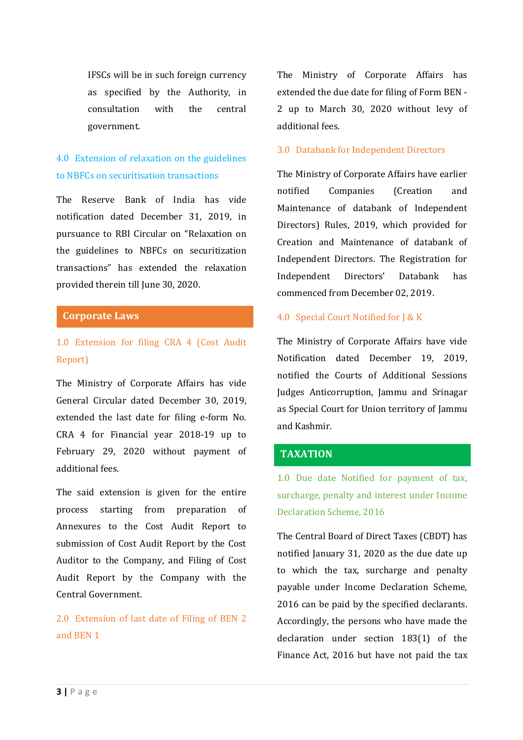IFSCs will be in such foreign currency as specified by the Authority, in consultation with the central government.

# 4.0 Extension of relaxation on the guidelines to NBFCs on securitisation transactions

The Reserve Bank of India has vide notification dated December 31, 2019, in pursuance to RBI Circular on "Relaxation on the guidelines to NBFCs on securitization transactions" has extended the relaxation provided therein till June 30, 2020.

#### **Corporate Laws**

# 1.0 Extension for filing CRA 4 (Cost Audit) Report)

The Ministry of Corporate Affairs has vide General Circular dated December 30, 2019, extended the last date for filing e-form No. CRA 4 for Financial year 2018-19 up to February 29, 2020 without payment of additional fees.

The said extension is given for the entire process starting from preparation of Annexures to the Cost Audit Report to submission of Cost Audit Report by the Cost Auditor to the Company, and Filing of Cost Audit Report by the Company with the Central Government.

# 2.0 Extension of last date of Filing of BEN 2 and REN 1

The Ministry of Corporate Affairs has extended the due date for filing of Form BEN -2 up to March 30, 2020 without levy of additional fees.

#### 3.0 Databank for Independent Directors

The Ministry of Corporate Affairs have earlier notified Companies (Creation and Maintenance of databank of Independent Directors) Rules, 2019, which provided for Creation and Maintenance of databank of Independent Directors. The Registration for Independent Directors' Databank has commenced from December 02, 2019.

#### 4.0 Special Court Notified for J & K

The Ministry of Corporate Affairs have vide Notification dated December 19, 2019, notified the Courts of Additional Sessions Judges Anticorruption, Jammu and Srinagar as Special Court for Union territory of Jammu and Kashmir.

#### **TAXATION**

1.0 Due date Notified for payment of tax, surcharge, penalty and interest under Income Declaration Scheme, 2016

The Central Board of Direct Taxes (CBDT) has notified January 31, 2020 as the due date up to which the tax, surcharge and penalty payable under Income Declaration Scheme, 2016 can be paid by the specified declarants. Accordingly, the persons who have made the declaration under section 183(1) of the Finance Act, 2016 but have not paid the tax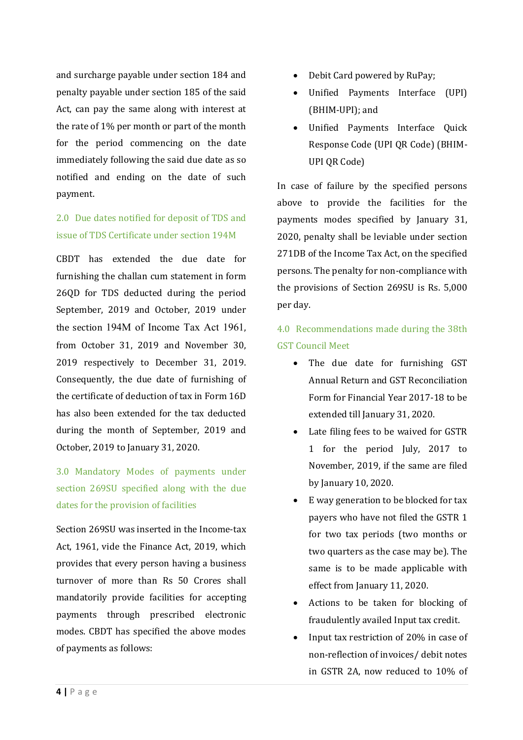and surcharge payable under section 184 and penalty payable under section 185 of the said Act, can pay the same along with interest at the rate of  $1\%$  per month or part of the month for the period commencing on the date immediately following the said due date as so notified and ending on the date of such payment.

# 2.0 Due dates notified for deposit of TDS and issue of TDS Certificate under section 194M

CBDT has extended the due date for furnishing the challan cum statement in form 26QD for TDS deducted during the period September, 2019 and October, 2019 under the section 194M of Income Tax Act 1961. from October 31, 2019 and November 30, 2019 respectively to December 31, 2019. Consequently, the due date of furnishing of the certificate of deduction of tax in Form 16D has also been extended for the tax deducted during the month of September, 2019 and October, 2019 to January 31, 2020.

3.0 Mandatory Modes of payments under section 269SU specified along with the due dates for the provision of facilities

Section 269SU was inserted in the Income-tax Act, 1961, vide the Finance Act, 2019, which provides that every person having a business turnover of more than Rs 50 Crores shall mandatorily provide facilities for accepting payments through prescribed electronic modes. CBDT has specified the above modes of payments as follows:

- Debit Card powered by RuPay;
- Unified Payments Interface (UPI) (BHIM-UPI); and
- Unified Payments Interface Quick Response Code (UPI QR Code) (BHIM-UPI OR Code)

In case of failure by the specified persons above to provide the facilities for the payments modes specified by January 31, 2020, penalty shall be leviable under section 271DB of the Income Tax Act, on the specified persons. The penalty for non-compliance with the provisions of Section  $269SU$  is Rs.  $5,000$ per day.

# 4.0 Recommendations made during the 38th **GST Council Meet**

- The due date for furnishing GST Annual Return and GST Reconciliation Form for Financial Year 2017-18 to be extended till January 31, 2020.
- Late filing fees to be waived for GSTR 1 for the period July, 2017 to November, 2019, if the same are filed by January 10, 2020.
- E way generation to be blocked for tax payers who have not filed the GSTR 1 for two tax periods (two months or two quarters as the case may be). The same is to be made applicable with effect from January 11, 2020.
- Actions to be taken for blocking of fraudulently availed Input tax credit.
- Input tax restriction of 20% in case of non-reflection of invoices/ debit notes in GSTR 2A, now reduced to 10% of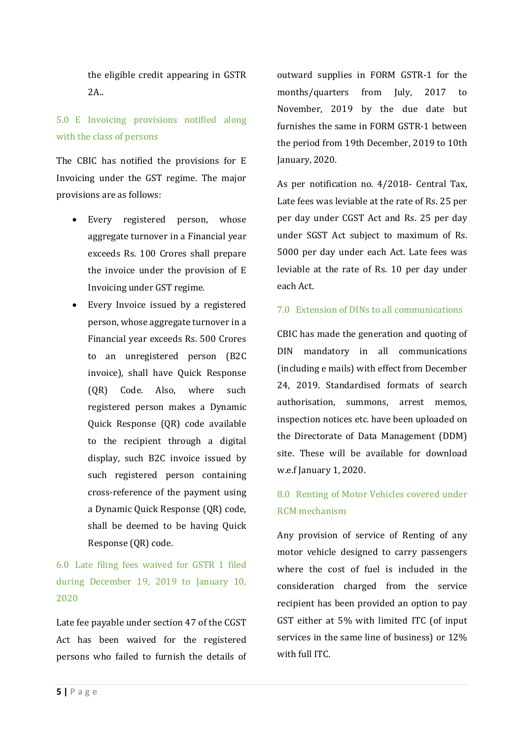the eligible credit appearing in GSTR 2A..

# 5.0 E Invoicing provisions notified along with the class of persons

The CBIC has notified the provisions for E Invoicing under the GST regime. The major provisions are as follows:

- Every registered person, whose aggregate turnover in a Financial year exceeds Rs. 100 Crores shall prepare the invoice under the provision of  $E$ Invoicing under GST regime.
- Every Invoice issued by a registered person, whose aggregate turnover in a Financial year exceeds Rs. 500 Crores to an unregistered person (B2C invoice), shall have Quick Response (QR) Code. Also, where such registered person makes a Dynamic Quick Response (QR) code available to the recipient through a digital display, such B2C invoice issued by such registered person containing cross-reference of the payment using a Dynamic Quick Response (QR) code, shall be deemed to be having Quick Response (QR) code.

6.0 Late filing fees waived for GSTR 1 filed during December 19, 2019 to January 10, 2020

Late fee payable under section 47 of the CGST Act has been waived for the registered persons who failed to furnish the details of outward supplies in FORM GSTR-1 for the months/quarters from July, 2017 to November, 2019 by the due date but furnishes the same in FORM GSTR-1 between the period from 19th December, 2019 to 10th January, 2020.

As per notification no. 4/2018- Central Tax, Late fees was leviable at the rate of Rs. 25 per per day under CGST Act and Rs. 25 per day under SGST Act subject to maximum of Rs. 5000 per day under each Act. Late fees was leviable at the rate of Rs. 10 per day under each Act. 

#### 7.0 Extension of DINs to all communications

CBIC has made the generation and quoting of DIN mandatory in all communications (including e mails) with effect from December 24, 2019. Standardised formats of search authorisation, summons, arrest memos, inspection notices etc. have been uploaded on the Directorate of Data Management (DDM) site. These will be available for download w.e.f January 1, 2020.

# 8.0 Renting of Motor Vehicles covered under RCM mechanism

Any provision of service of Renting of any motor vehicle designed to carry passengers where the cost of fuel is included in the consideration charged from the service recipient has been provided an option to pay GST either at 5% with limited ITC (of input services in the same line of business) or  $12\%$ with full ITC.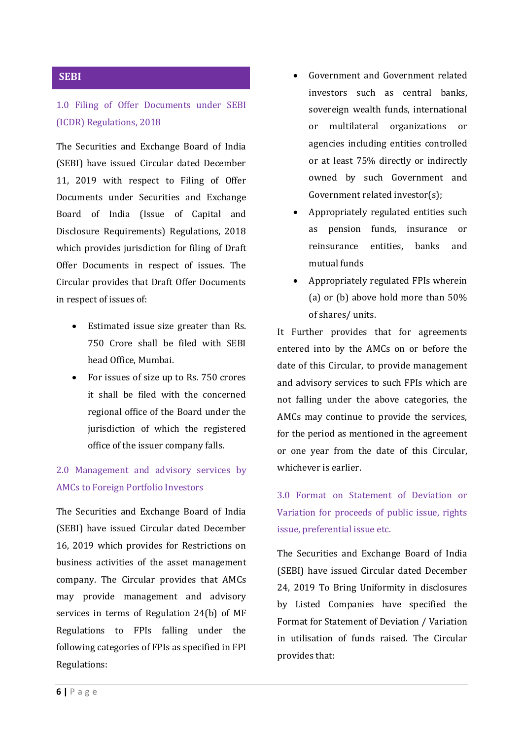### **SEBI**

## 1.0 Filing of Offer Documents under SEBI (ICDR) Regulations, 2018

The Securities and Exchange Board of India (SEBI) have issued Circular dated December 11, 2019 with respect to Filing of Offer Documents under Securities and Exchange Board of India (Issue of Capital and Disclosure Requirements) Regulations, 2018 which provides jurisdiction for filing of Draft Offer Documents in respect of issues. The Circular provides that Draft Offer Documents in respect of issues of:

- Estimated issue size greater than Rs. 750 Crore shall be filed with SEBI head Office, Mumbai.
- For issues of size up to Rs. 750 crores it shall be filed with the concerned regional office of the Board under the jurisdiction of which the registered office of the issuer company falls.

# 2.0 Management and advisory services by AMCs to Foreign Portfolio Investors

The Securities and Exchange Board of India (SEBI) have issued Circular dated December 16, 2019 which provides for Restrictions on business activities of the asset management company. The Circular provides that AMCs may provide management and advisory services in terms of Regulation  $24(b)$  of MF Regulations to FPIs falling under the following categories of FPIs as specified in FPI Regulations:

- Government and Government related investors such as central hanks. sovereign wealth funds, international or multilateral organizations or agencies including entities controlled or at least 75% directly or indirectly owned by such Government and Government related investor(s);
- Appropriately regulated entities such as pension funds, insurance or reinsurance entities, banks and mutual funds
- Appropriately regulated FPIs wherein (a) or (b) above hold more than  $50\%$ of shares/ units.

It Further provides that for agreements entered into by the AMCs on or before the date of this Circular, to provide management and advisory services to such FPIs which are not falling under the above categories, the AMCs may continue to provide the services, for the period as mentioned in the agreement or one year from the date of this Circular, whichever is earlier.

3.0 Format on Statement of Deviation or Variation for proceeds of public issue, rights issue, preferential issue etc.

The Securities and Exchange Board of India (SEBI) have issued Circular dated December 24, 2019 To Bring Uniformity in disclosures by Listed Companies have specified the Format for Statement of Deviation / Variation in utilisation of funds raised. The Circular provides that: